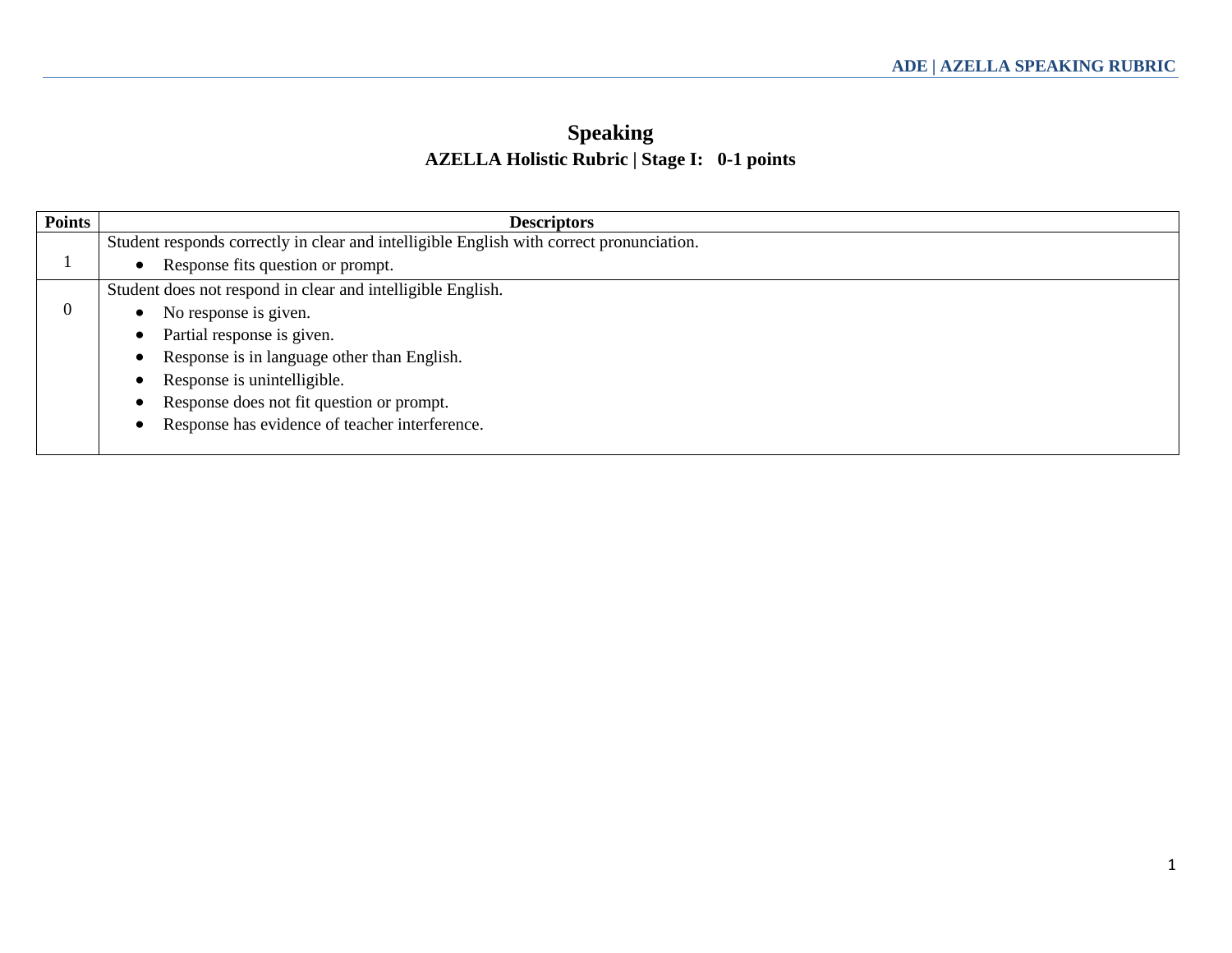### **Speaking AZELLA Holistic Rubric | Stage I: 0-1 points**

| <b>Points</b> | <b>Descriptors</b>                                                                       |
|---------------|------------------------------------------------------------------------------------------|
|               | Student responds correctly in clear and intelligible English with correct pronunciation. |
|               | Response fits question or prompt.<br>$\bullet$                                           |
|               | Student does not respond in clear and intelligible English.                              |
|               | No response is given.                                                                    |
|               | Partial response is given.<br>$\bullet$                                                  |
|               | Response is in language other than English.<br>$\bullet$                                 |
|               | Response is unintelligible.<br>$\bullet$                                                 |
|               | Response does not fit question or prompt.<br>$\bullet$                                   |
|               | Response has evidence of teacher interference.<br>$\bullet$                              |
|               |                                                                                          |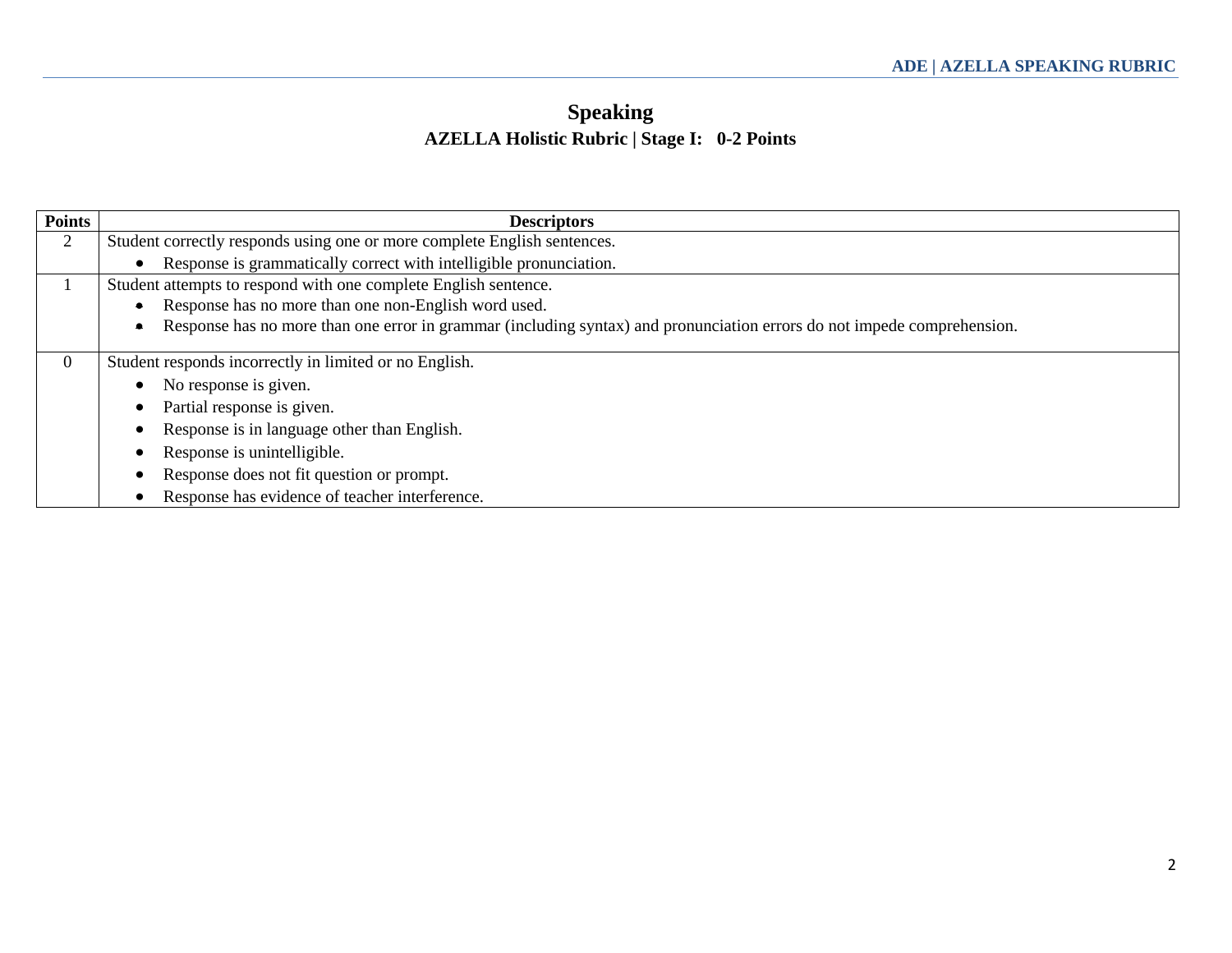## **Speaking AZELLA Holistic Rubric | Stage I: 0-2 Points**

| <b>Points</b>  | <b>Descriptors</b>                                                                                                                   |
|----------------|--------------------------------------------------------------------------------------------------------------------------------------|
| $\overline{2}$ | Student correctly responds using one or more complete English sentences.                                                             |
|                | Response is grammatically correct with intelligible pronunciation.                                                                   |
|                | Student attempts to respond with one complete English sentence.                                                                      |
|                | Response has no more than one non-English word used.                                                                                 |
|                | Response has no more than one error in grammar (including syntax) and pronunciation errors do not impede comprehension.<br>$\bullet$ |
| $\Omega$       | Student responds incorrectly in limited or no English.                                                                               |
|                | No response is given.                                                                                                                |
|                | Partial response is given.                                                                                                           |
|                | Response is in language other than English.                                                                                          |
|                | Response is unintelligible.                                                                                                          |
|                | Response does not fit question or prompt.                                                                                            |
|                | Response has evidence of teacher interference.                                                                                       |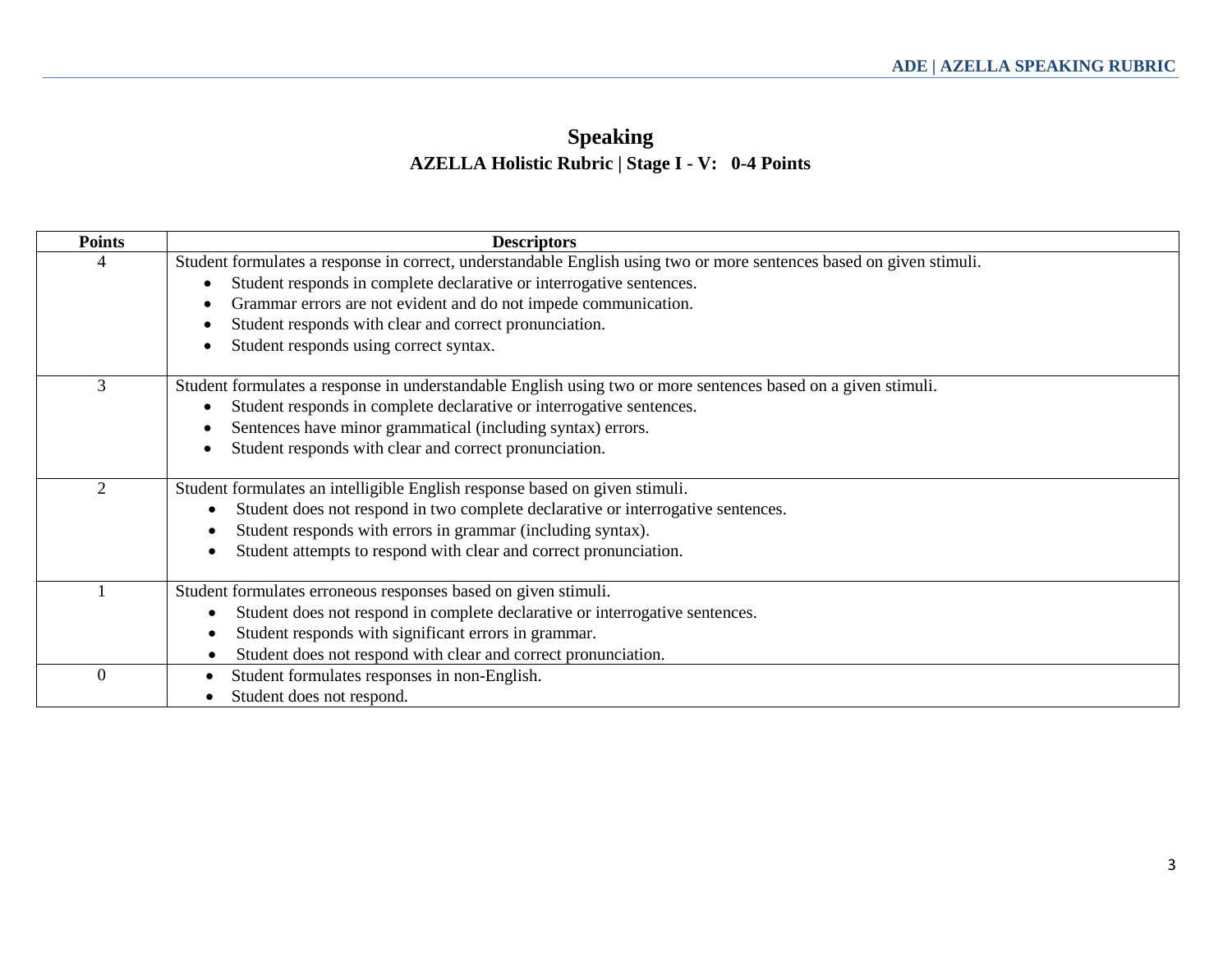# **Speaking AZELLA Holistic Rubric | Stage I - V: 0-4 Points**

| <b>Points</b> | <b>Descriptors</b>                                                                                                   |
|---------------|----------------------------------------------------------------------------------------------------------------------|
| 4             | Student formulates a response in correct, understandable English using two or more sentences based on given stimuli. |
|               | Student responds in complete declarative or interrogative sentences.                                                 |
|               | Grammar errors are not evident and do not impede communication.                                                      |
|               | Student responds with clear and correct pronunciation.                                                               |
|               | Student responds using correct syntax.                                                                               |
| 3             | Student formulates a response in understandable English using two or more sentences based on a given stimuli.        |
|               | Student responds in complete declarative or interrogative sentences.                                                 |
|               | Sentences have minor grammatical (including syntax) errors.                                                          |
|               | Student responds with clear and correct pronunciation.                                                               |
| 2             |                                                                                                                      |
|               | Student formulates an intelligible English response based on given stimuli.                                          |
|               | Student does not respond in two complete declarative or interrogative sentences.<br>$\bullet$                        |
|               | Student responds with errors in grammar (including syntax).<br>$\bullet$                                             |
|               | Student attempts to respond with clear and correct pronunciation.<br>$\bullet$                                       |
|               | Student formulates erroneous responses based on given stimuli.                                                       |
|               | Student does not respond in complete declarative or interrogative sentences.<br>$\bullet$                            |
|               | Student responds with significant errors in grammar.<br>$\bullet$                                                    |
|               | Student does not respond with clear and correct pronunciation.                                                       |
| $\theta$      | Student formulates responses in non-English.                                                                         |
|               | Student does not respond.                                                                                            |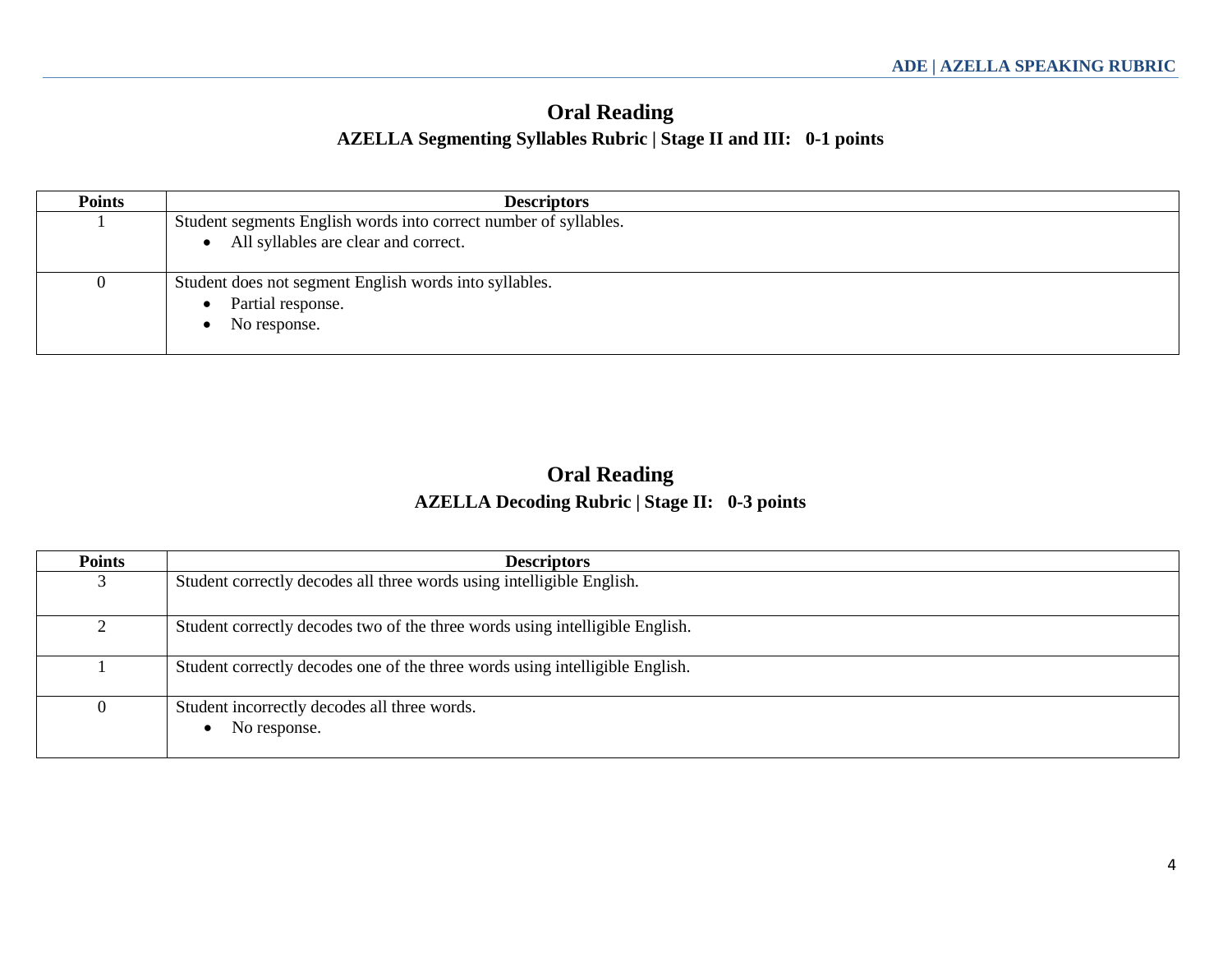### **Oral Reading AZELLA Segmenting Syllables Rubric | Stage II and III: 0-1 points**

| <b>Points</b> | <b>Descriptors</b>                                               |
|---------------|------------------------------------------------------------------|
|               | Student segments English words into correct number of syllables. |
|               | All syllables are clear and correct.<br>$\bullet$                |
|               | Student does not segment English words into syllables.           |
|               | Partial response.                                                |
|               | No response.                                                     |

### **Oral Reading AZELLA Decoding Rubric | Stage II: 0-3 points**

| <b>Points</b> | <b>Descriptors</b>                                                           |
|---------------|------------------------------------------------------------------------------|
|               | Student correctly decodes all three words using intelligible English.        |
|               | Student correctly decodes two of the three words using intelligible English. |
|               | Student correctly decodes one of the three words using intelligible English. |
| $^{(1)}$      | Student incorrectly decodes all three words.<br>No response.<br>$\bullet$    |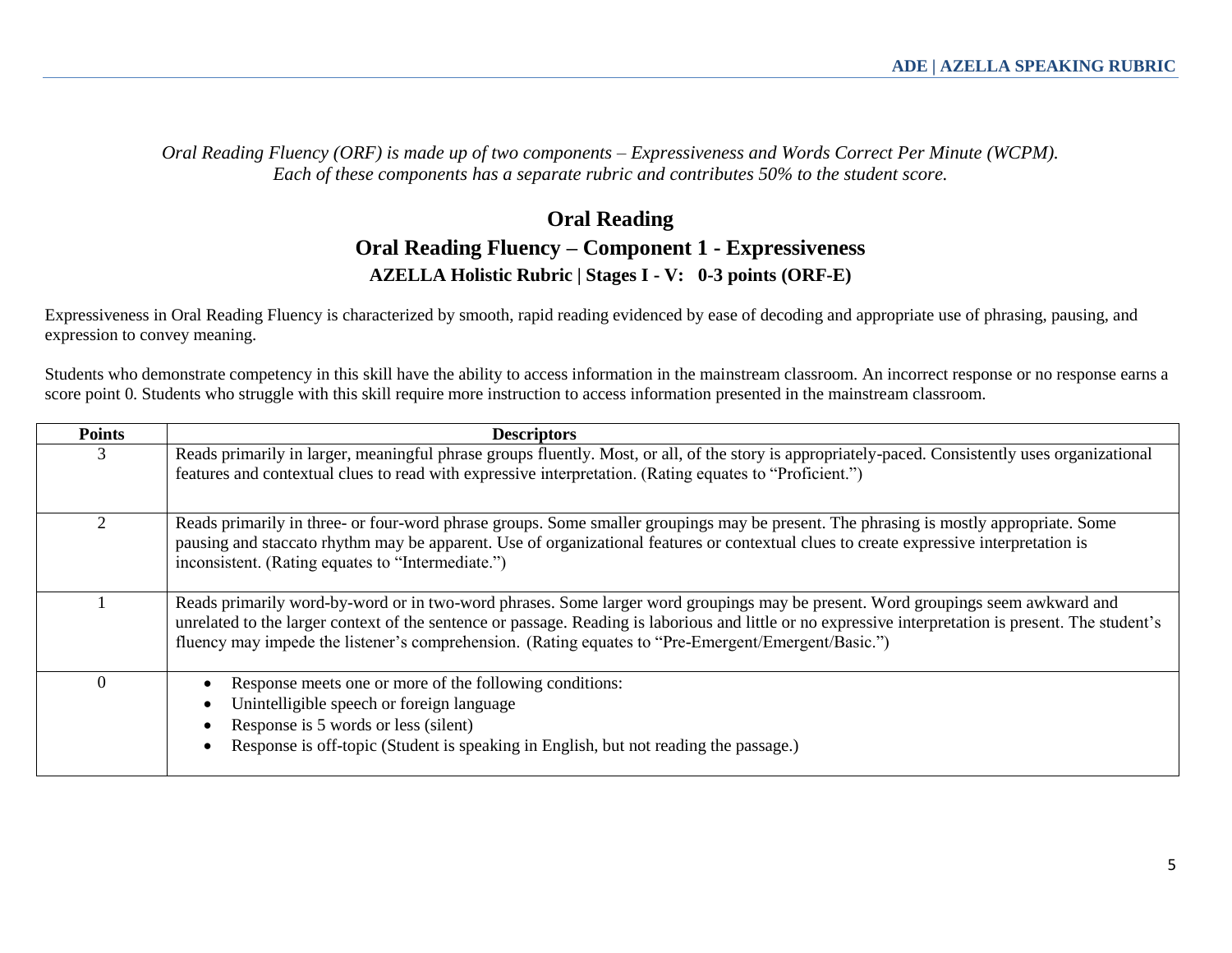*Oral Reading Fluency (ORF) is made up of two components – Expressiveness and Words Correct Per Minute (WCPM). Each of these components has a separate rubric and contributes 50% to the student score.* 

#### **Oral Reading Oral Reading Fluency – Component 1 - Expressiveness AZELLA Holistic Rubric | Stages I - V: 0-3 points (ORF-E)**

Expressiveness in Oral Reading Fluency is characterized by smooth, rapid reading evidenced by ease of decoding and appropriate use of phrasing, pausing, and expression to convey meaning.

Students who demonstrate competency in this skill have the ability to access information in the mainstream classroom. An incorrect response or no response earns a score point 0. Students who struggle with this skill require more instruction to access information presented in the mainstream classroom.

| <b>Points</b> | <b>Descriptors</b>                                                                                                                                                                                                                                                                                                                                                                              |
|---------------|-------------------------------------------------------------------------------------------------------------------------------------------------------------------------------------------------------------------------------------------------------------------------------------------------------------------------------------------------------------------------------------------------|
| 3             | Reads primarily in larger, meaningful phrase groups fluently. Most, or all, of the story is appropriately-paced. Consistently uses organizational<br>features and contextual clues to read with expressive interpretation. (Rating equates to "Proficient.")                                                                                                                                    |
|               | Reads primarily in three- or four-word phrase groups. Some smaller groupings may be present. The phrasing is mostly appropriate. Some<br>pausing and staccato rhythm may be apparent. Use of organizational features or contextual clues to create expressive interpretation is<br>inconsistent. (Rating equates to "Intermediate.")                                                            |
|               | Reads primarily word-by-word or in two-word phrases. Some larger word groupings may be present. Word groupings seem awkward and<br>unrelated to the larger context of the sentence or passage. Reading is laborious and little or no expressive interpretation is present. The student's<br>fluency may impede the listener's comprehension. (Rating equates to "Pre-Emergent/Emergent/Basic.") |
|               | Response meets one or more of the following conditions:<br>Unintelligible speech or foreign language<br>Response is 5 words or less (silent)<br>Response is off-topic (Student is speaking in English, but not reading the passage.)                                                                                                                                                            |